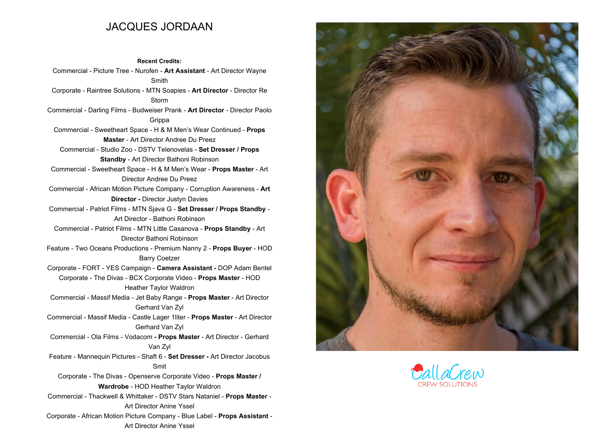## **JACQUES JORDAAN**

**Recent Credits: Commercial - Picture Tree - Nurofen - Art Assistant - Art Director Wayne Smith Corporate - Raintree Solutions - MTN Soapies - Art Director - Director Re Storm Commercial - Darling Films - Budweiser Prank - Art Director - Director Paolo Grippa Commercial - Sweetheart Space - <sup>H</sup> & <sup>M</sup> Men's Wear Continued - Props Master - Art Director Andree Du Preez Commercial - Studio Zoo - DSTV Telenovelas - Set Dresser / Props Standby - Art Director Bathoni Robinson Commercial - Sweetheart Space - <sup>H</sup> & <sup>M</sup> Men's Wear - Props Master - Art Director Andree Du Preez Commercial - African Motion Picture Company - Corruption Awareness - Art Director - Director Justyn Davies Commercial - Patriot Films - MTN Sjava <sup>G</sup> - Set Dresser / Props Standby - Art Director - Bathoni Robinson Commercial - Patriot Films - MTN Little Casanova - Props Standby - Art Director Bathoni RobinsonFeature - Two Oceans Productions - Premium Nanny <sup>2</sup> - Props Buyer - HOD Barry Coetzer Corporate - FORT - YES Campaign - Camera Assistant - DOP Adam Bentel Corporate - The Divas - BCX Corporate Video - Props Master - HODHeather Taylor WaldronCommercial - Massif Media - Jet Baby Range - Props Master - Art Director Gerhard Van Zyl Commercial - Massif Media - Castle Lager 1liter - Props Master - Art Director Gerhard Van Zyl Commercial - Ola Films - Vodacom - Props Master - Art Director - Gerhard Van Zyl Feature - Mannequin Pictures - Shaft <sup>6</sup> - Set Dresser - Art Director Jacobus SmitCorporate - The Divas - Openserve Corporate Video - Props Master / Wardrobe - HOD Heather Taylor Waldron Commercial - Thackwell & Whittaker - DSTV Stars Nataniel - Props Master - Art Director Anine Yssel Corporate - African Motion Picture Company - Blue Label - Props Assistant - Art Director Anine Yssel**